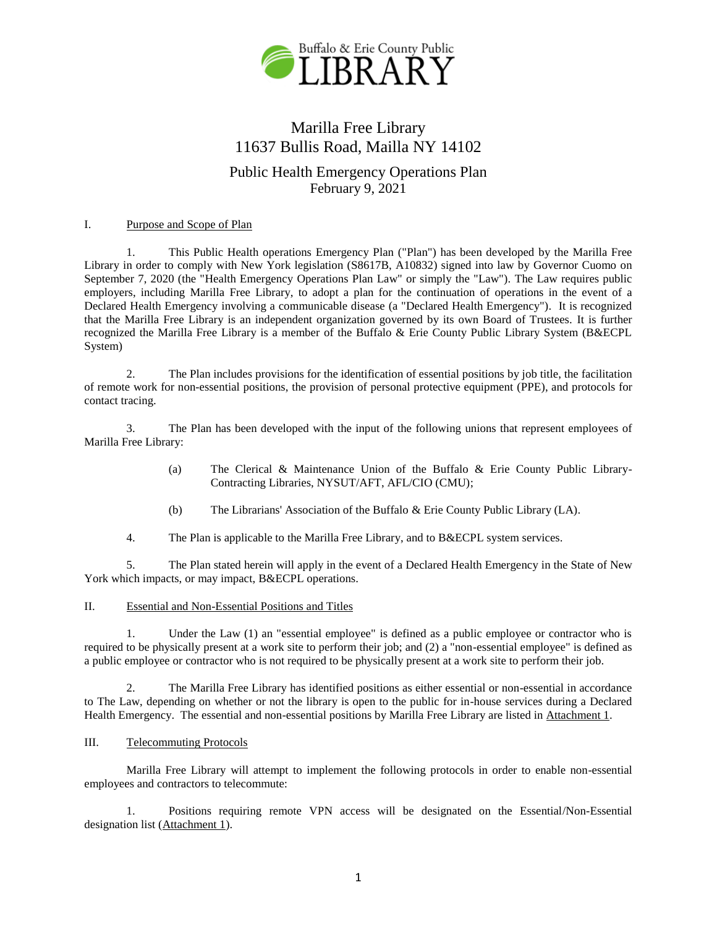

# Marilla Free Library 11637 Bullis Road, Mailla NY 14102 Public Health Emergency Operations Plan

February 9, 2021

# I. Purpose and Scope of Plan

1. This Public Health operations Emergency Plan ("Plan") has been developed by the Marilla Free Library in order to comply with New York legislation (S8617B, A10832) signed into law by Governor Cuomo on September 7, 2020 (the "Health Emergency Operations Plan Law" or simply the "Law"). The Law requires public employers, including Marilla Free Library, to adopt a plan for the continuation of operations in the event of a Declared Health Emergency involving a communicable disease (a "Declared Health Emergency"). It is recognized that the Marilla Free Library is an independent organization governed by its own Board of Trustees. It is further recognized the Marilla Free Library is a member of the Buffalo & Erie County Public Library System (B&ECPL System)

2. The Plan includes provisions for the identification of essential positions by job title, the facilitation of remote work for non-essential positions, the provision of personal protective equipment (PPE), and protocols for contact tracing.

3. The Plan has been developed with the input of the following unions that represent employees of Marilla Free Library:

- (a) The Clerical & Maintenance Union of the Buffalo & Erie County Public Library-Contracting Libraries, NYSUT/AFT, AFL/CIO (CMU);
- (b) The Librarians' Association of the Buffalo & Erie County Public Library (LA).

4. The Plan is applicable to the Marilla Free Library, and to B&ECPL system services.

5. The Plan stated herein will apply in the event of a Declared Health Emergency in the State of New York which impacts, or may impact, B&ECPL operations.

# II. Essential and Non-Essential Positions and Titles

1. Under the Law (1) an "essential employee" is defined as a public employee or contractor who is required to be physically present at a work site to perform their job; and (2) a "non-essential employee" is defined as a public employee or contractor who is not required to be physically present at a work site to perform their job.

2. The Marilla Free Library has identified positions as either essential or non-essential in accordance to The Law, depending on whether or not the library is open to the public for in-house services during a Declared Health Emergency. The essential and non-essential positions by Marilla Free Library are listed in Attachment 1.

# III. Telecommuting Protocols

Marilla Free Library will attempt to implement the following protocols in order to enable non-essential employees and contractors to telecommute:

1. Positions requiring remote VPN access will be designated on the Essential/Non-Essential designation list (Attachment 1).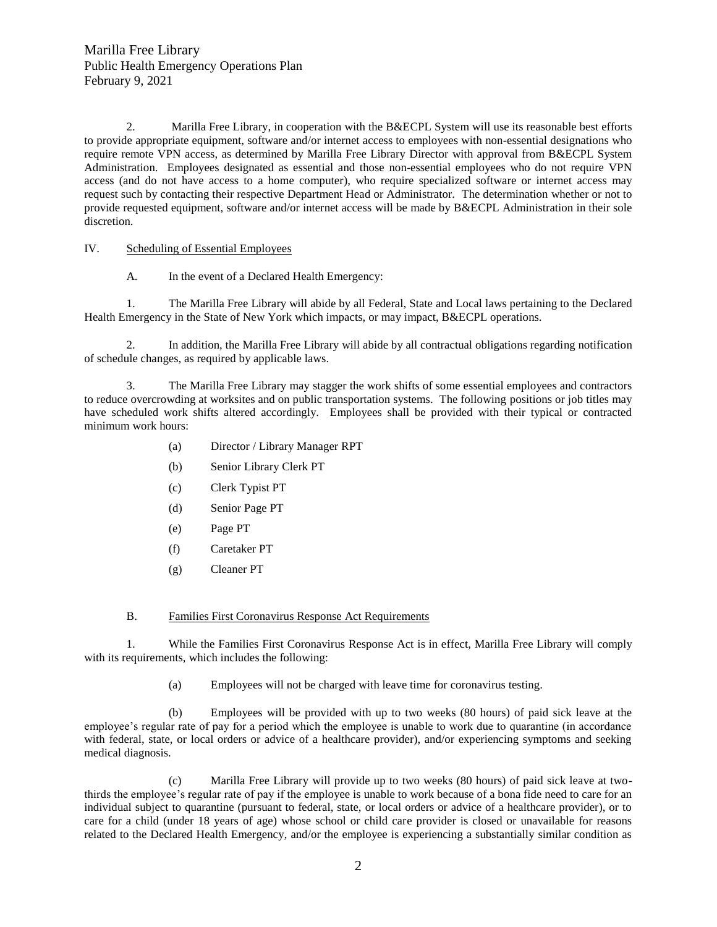2. Marilla Free Library, in cooperation with the B&ECPL System will use its reasonable best efforts to provide appropriate equipment, software and/or internet access to employees with non-essential designations who require remote VPN access, as determined by Marilla Free Library Director with approval from B&ECPL System Administration. Employees designated as essential and those non-essential employees who do not require VPN access (and do not have access to a home computer), who require specialized software or internet access may request such by contacting their respective Department Head or Administrator. The determination whether or not to provide requested equipment, software and/or internet access will be made by B&ECPL Administration in their sole discretion.

## IV. Scheduling of Essential Employees

A. In the event of a Declared Health Emergency:

1. The Marilla Free Library will abide by all Federal, State and Local laws pertaining to the Declared Health Emergency in the State of New York which impacts, or may impact, B&ECPL operations.

2. In addition, the Marilla Free Library will abide by all contractual obligations regarding notification of schedule changes, as required by applicable laws.

3. The Marilla Free Library may stagger the work shifts of some essential employees and contractors to reduce overcrowding at worksites and on public transportation systems. The following positions or job titles may have scheduled work shifts altered accordingly. Employees shall be provided with their typical or contracted minimum work hours:

- (a) Director / Library Manager RPT
- (b) Senior Library Clerk PT
- (c) Clerk Typist PT
- (d) Senior Page PT
- (e) Page PT
- (f) Caretaker PT
- (g) Cleaner PT
- B. Families First Coronavirus Response Act Requirements

1. While the Families First Coronavirus Response Act is in effect, Marilla Free Library will comply with its requirements, which includes the following:

(a) Employees will not be charged with leave time for coronavirus testing.

(b) Employees will be provided with up to two weeks (80 hours) of paid sick leave at the employee's regular rate of pay for a period which the employee is unable to work due to quarantine (in accordance with federal, state, or local orders or advice of a healthcare provider), and/or experiencing symptoms and seeking medical diagnosis.

(c) Marilla Free Library will provide up to two weeks (80 hours) of paid sick leave at twothirds the employee's regular rate of pay if the employee is unable to work because of a bona fide need to care for an individual subject to quarantine (pursuant to federal, state, or local orders or advice of a healthcare provider), or to care for a child (under 18 years of age) whose school or child care provider is closed or unavailable for reasons related to the Declared Health Emergency, and/or the employee is experiencing a substantially similar condition as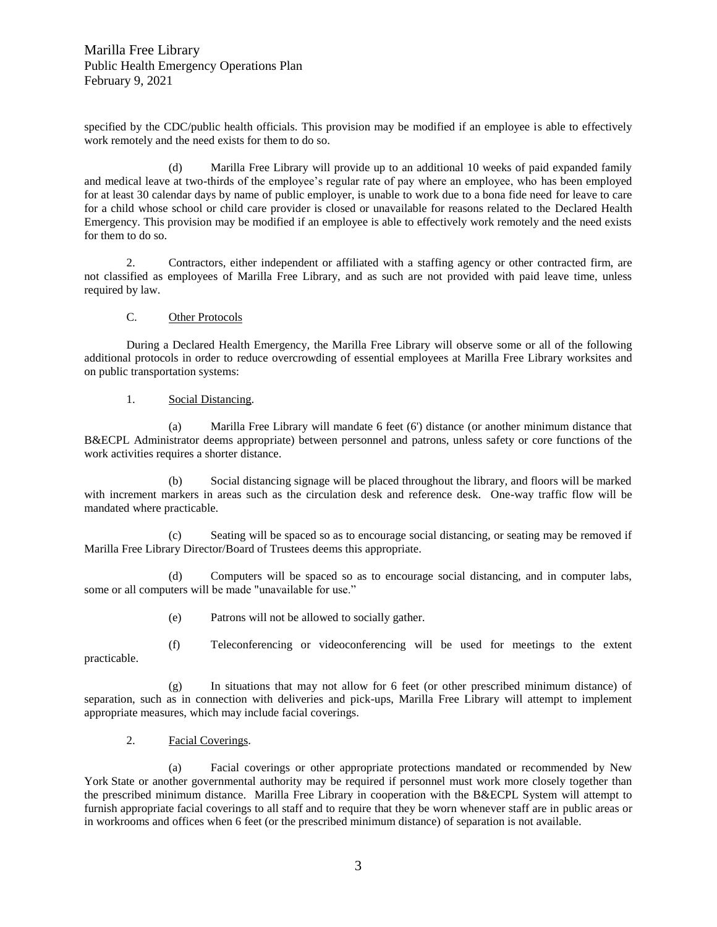specified by the CDC/public health officials. This provision may be modified if an employee is able to effectively work remotely and the need exists for them to do so.

(d) Marilla Free Library will provide up to an additional 10 weeks of paid expanded family and medical leave at two-thirds of the employee's regular rate of pay where an employee, who has been employed for at least 30 calendar days by name of public employer, is unable to work due to a bona fide need for leave to care for a child whose school or child care provider is closed or unavailable for reasons related to the Declared Health Emergency. This provision may be modified if an employee is able to effectively work remotely and the need exists for them to do so.

2. Contractors, either independent or affiliated with a staffing agency or other contracted firm, are not classified as employees of Marilla Free Library, and as such are not provided with paid leave time, unless required by law.

## C. Other Protocols

During a Declared Health Emergency, the Marilla Free Library will observe some or all of the following additional protocols in order to reduce overcrowding of essential employees at Marilla Free Library worksites and on public transportation systems:

## 1. Social Distancing.

(a) Marilla Free Library will mandate 6 feet (6') distance (or another minimum distance that B&ECPL Administrator deems appropriate) between personnel and patrons, unless safety or core functions of the work activities requires a shorter distance.

(b) Social distancing signage will be placed throughout the library, and floors will be marked with increment markers in areas such as the circulation desk and reference desk. One-way traffic flow will be mandated where practicable.

(c) Seating will be spaced so as to encourage social distancing, or seating may be removed if Marilla Free Library Director/Board of Trustees deems this appropriate.

(d) Computers will be spaced so as to encourage social distancing, and in computer labs, some or all computers will be made "unavailable for use."

- (e) Patrons will not be allowed to socially gather.
- (f) Teleconferencing or videoconferencing will be used for meetings to the extent

practicable.

(g) In situations that may not allow for 6 feet (or other prescribed minimum distance) of separation, such as in connection with deliveries and pick-ups, Marilla Free Library will attempt to implement appropriate measures, which may include facial coverings.

2. Facial Coverings.

(a) Facial coverings or other appropriate protections mandated or recommended by New York State or another governmental authority may be required if personnel must work more closely together than the prescribed minimum distance. Marilla Free Library in cooperation with the B&ECPL System will attempt to furnish appropriate facial coverings to all staff and to require that they be worn whenever staff are in public areas or in workrooms and offices when 6 feet (or the prescribed minimum distance) of separation is not available.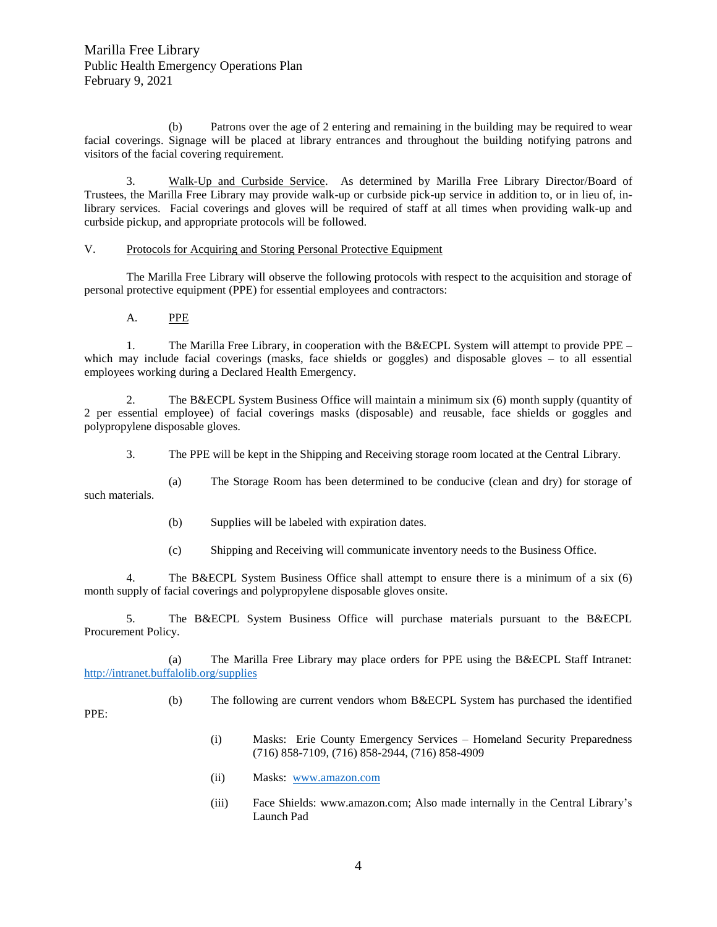(b) Patrons over the age of 2 entering and remaining in the building may be required to wear facial coverings. Signage will be placed at library entrances and throughout the building notifying patrons and visitors of the facial covering requirement.

3. Walk-Up and Curbside Service. As determined by Marilla Free Library Director/Board of Trustees, the Marilla Free Library may provide walk-up or curbside pick-up service in addition to, or in lieu of, inlibrary services. Facial coverings and gloves will be required of staff at all times when providing walk-up and curbside pickup, and appropriate protocols will be followed.

## V. Protocols for Acquiring and Storing Personal Protective Equipment

The Marilla Free Library will observe the following protocols with respect to the acquisition and storage of personal protective equipment (PPE) for essential employees and contractors:

A. PPE

1. The Marilla Free Library, in cooperation with the B&ECPL System will attempt to provide PPE – which may include facial coverings (masks, face shields or goggles) and disposable gloves – to all essential employees working during a Declared Health Emergency.

2. The B&ECPL System Business Office will maintain a minimum six (6) month supply (quantity of 2 per essential employee) of facial coverings masks (disposable) and reusable, face shields or goggles and polypropylene disposable gloves.

3. The PPE will be kept in the Shipping and Receiving storage room located at the Central Library.

(a) The Storage Room has been determined to be conducive (clean and dry) for storage of such materials.

- (b) Supplies will be labeled with expiration dates.
- (c) Shipping and Receiving will communicate inventory needs to the Business Office.

4. The B&ECPL System Business Office shall attempt to ensure there is a minimum of a six (6) month supply of facial coverings and polypropylene disposable gloves onsite.

5. The B&ECPL System Business Office will purchase materials pursuant to the B&ECPL Procurement Policy.

(a) The Marilla Free Library may place orders for PPE using the B&ECPL Staff Intranet: <http://intranet.buffalolib.org/supplies>

(b) The following are current vendors whom B&ECPL System has purchased the identified

PPE:

- (i) Masks: Erie County Emergency Services Homeland Security Preparedness (716) 858-7109, (716) 858-2944, (716) 858-4909
- (ii) Masks: [www.amazon.com](http://www.amazon.com/)
- (iii) Face Shields: www.amazon.com; Also made internally in the Central Library's Launch Pad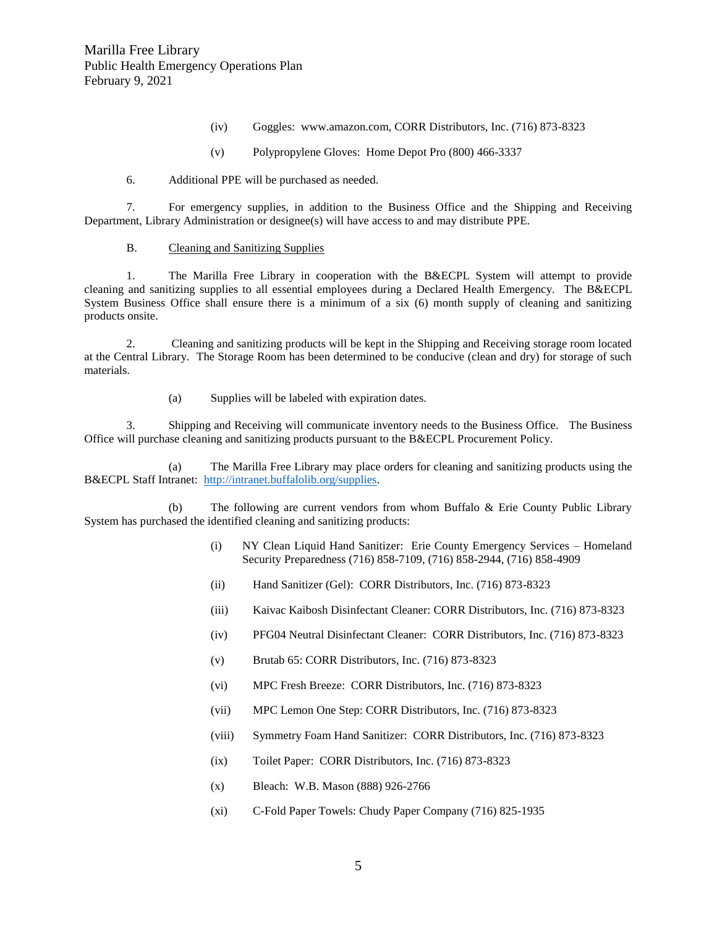- (iv) Goggles: www.amazon.com, CORR Distributors, Inc. (716) 873-8323
- (v) Polypropylene Gloves: Home Depot Pro (800) 466-3337

#### 6. Additional PPE will be purchased as needed.

7. For emergency supplies, in addition to the Business Office and the Shipping and Receiving Department, Library Administration or designee(s) will have access to and may distribute PPE.

## B. Cleaning and Sanitizing Supplies

1. The Marilla Free Library in cooperation with the B&ECPL System will attempt to provide cleaning and sanitizing supplies to all essential employees during a Declared Health Emergency. The B&ECPL System Business Office shall ensure there is a minimum of a six (6) month supply of cleaning and sanitizing products onsite.

2. Cleaning and sanitizing products will be kept in the Shipping and Receiving storage room located at the Central Library. The Storage Room has been determined to be conducive (clean and dry) for storage of such materials.

(a) Supplies will be labeled with expiration dates.

3. Shipping and Receiving will communicate inventory needs to the Business Office. The Business Office will purchase cleaning and sanitizing products pursuant to the B&ECPL Procurement Policy.

(a) The Marilla Free Library may place orders for cleaning and sanitizing products using the B&ECPL Staff Intranet: [http://intranet.buffalolib.org/supplies.](http://intranet.buffalolib.org/supplies)

(b) The following are current vendors from whom Buffalo & Erie County Public Library System has purchased the identified cleaning and sanitizing products:

- (i) NY Clean Liquid Hand Sanitizer: Erie County Emergency Services Homeland Security Preparedness (716) 858-7109, (716) 858-2944, (716) 858-4909
- (ii) Hand Sanitizer (Gel): CORR Distributors, Inc. (716) 873-8323
- (iii) Kaivac Kaibosh Disinfectant Cleaner: CORR Distributors, Inc. (716) 873-8323
- (iv) PFG04 Neutral Disinfectant Cleaner: CORR Distributors, Inc. (716) 873-8323
- (v) Brutab 65: CORR Distributors, Inc. (716) 873-8323
- (vi) MPC Fresh Breeze: CORR Distributors, Inc. (716) 873-8323
- (vii) MPC Lemon One Step: CORR Distributors, Inc. (716) 873-8323
- (viii) Symmetry Foam Hand Sanitizer: CORR Distributors, Inc. (716) 873-8323
- (ix) Toilet Paper: CORR Distributors, Inc. (716) 873-8323
- (x) Bleach: W.B. Mason (888) 926-2766
- (xi) C-Fold Paper Towels: Chudy Paper Company (716) 825-1935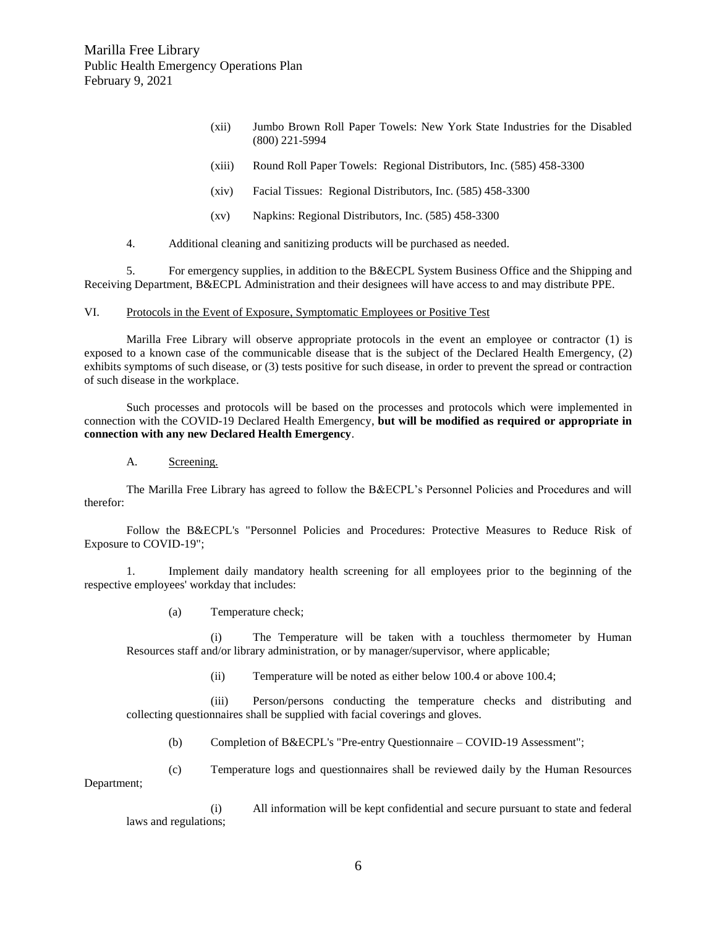- (xii) Jumbo Brown Roll Paper Towels: New York State Industries for the Disabled (800) 221-5994
- (xiii) Round Roll Paper Towels: Regional Distributors, Inc. (585) 458-3300
- (xiv) Facial Tissues: Regional Distributors, Inc. (585) 458-3300
- (xv) Napkins: Regional Distributors, Inc. (585) 458-3300
- 4. Additional cleaning and sanitizing products will be purchased as needed.

5. For emergency supplies, in addition to the B&ECPL System Business Office and the Shipping and Receiving Department, B&ECPL Administration and their designees will have access to and may distribute PPE.

VI. Protocols in the Event of Exposure, Symptomatic Employees or Positive Test

Marilla Free Library will observe appropriate protocols in the event an employee or contractor (1) is exposed to a known case of the communicable disease that is the subject of the Declared Health Emergency, (2) exhibits symptoms of such disease, or (3) tests positive for such disease, in order to prevent the spread or contraction of such disease in the workplace.

Such processes and protocols will be based on the processes and protocols which were implemented in connection with the COVID-19 Declared Health Emergency, **but will be modified as required or appropriate in connection with any new Declared Health Emergency**.

#### A. Screening.

The Marilla Free Library has agreed to follow the B&ECPL's Personnel Policies and Procedures and will therefor:

Follow the B&ECPL's "Personnel Policies and Procedures: Protective Measures to Reduce Risk of Exposure to COVID-19";

1. Implement daily mandatory health screening for all employees prior to the beginning of the respective employees' workday that includes:

(a) Temperature check;

(i) The Temperature will be taken with a touchless thermometer by Human Resources staff and/or library administration, or by manager/supervisor, where applicable;

(ii) Temperature will be noted as either below 100.4 or above 100.4;

(iii) Person/persons conducting the temperature checks and distributing and collecting questionnaires shall be supplied with facial coverings and gloves.

(b) Completion of B&ECPL's "Pre-entry Questionnaire – COVID-19 Assessment";

(c) Temperature logs and questionnaires shall be reviewed daily by the Human Resources Department;

(i) All information will be kept confidential and secure pursuant to state and federal laws and regulations;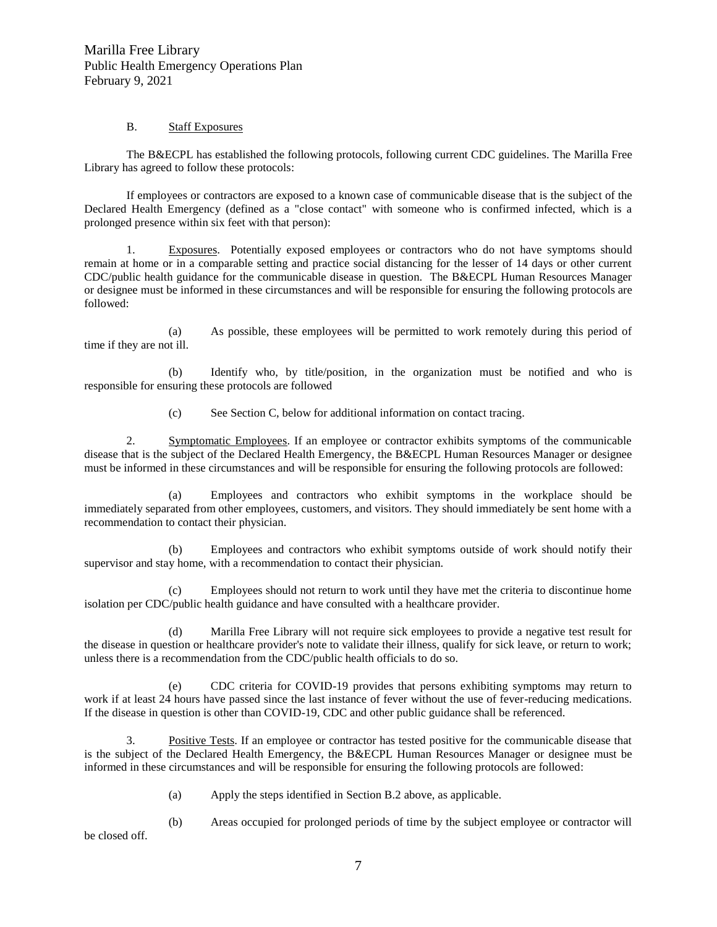## B. Staff Exposures

The B&ECPL has established the following protocols, following current CDC guidelines. The Marilla Free Library has agreed to follow these protocols:

If employees or contractors are exposed to a known case of communicable disease that is the subject of the Declared Health Emergency (defined as a "close contact" with someone who is confirmed infected, which is a prolonged presence within six feet with that person):

1. Exposures. Potentially exposed employees or contractors who do not have symptoms should remain at home or in a comparable setting and practice social distancing for the lesser of 14 days or other current CDC/public health guidance for the communicable disease in question. The B&ECPL Human Resources Manager or designee must be informed in these circumstances and will be responsible for ensuring the following protocols are followed:

(a) As possible, these employees will be permitted to work remotely during this period of time if they are not ill.

(b) Identify who, by title/position, in the organization must be notified and who is responsible for ensuring these protocols are followed

(c) See Section C, below for additional information on contact tracing.

2. Symptomatic Employees. If an employee or contractor exhibits symptoms of the communicable disease that is the subject of the Declared Health Emergency, the B&ECPL Human Resources Manager or designee must be informed in these circumstances and will be responsible for ensuring the following protocols are followed:

(a) Employees and contractors who exhibit symptoms in the workplace should be immediately separated from other employees, customers, and visitors. They should immediately be sent home with a recommendation to contact their physician.

(b) Employees and contractors who exhibit symptoms outside of work should notify their supervisor and stay home, with a recommendation to contact their physician.

(c) Employees should not return to work until they have met the criteria to discontinue home isolation per CDC/public health guidance and have consulted with a healthcare provider.

(d) Marilla Free Library will not require sick employees to provide a negative test result for the disease in question or healthcare provider's note to validate their illness, qualify for sick leave, or return to work; unless there is a recommendation from the CDC/public health officials to do so.

(e) CDC criteria for COVID-19 provides that persons exhibiting symptoms may return to work if at least 24 hours have passed since the last instance of fever without the use of fever-reducing medications. If the disease in question is other than COVID-19, CDC and other public guidance shall be referenced.

3. Positive Tests. If an employee or contractor has tested positive for the communicable disease that is the subject of the Declared Health Emergency, the B&ECPL Human Resources Manager or designee must be informed in these circumstances and will be responsible for ensuring the following protocols are followed:

(a) Apply the steps identified in Section B.2 above, as applicable.

(b) Areas occupied for prolonged periods of time by the subject employee or contractor will be closed off.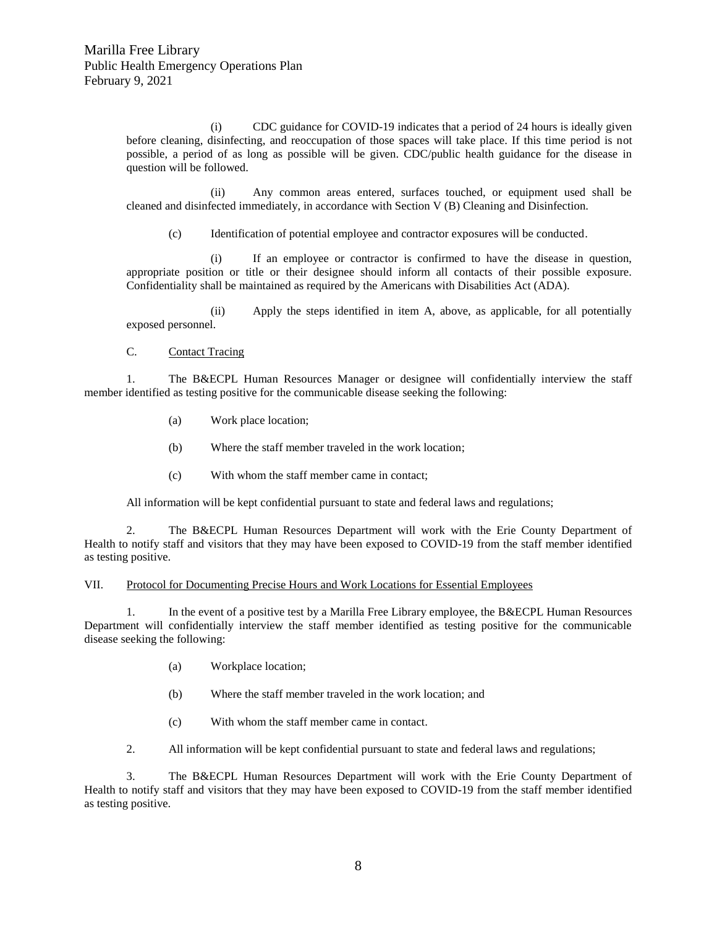(i) CDC guidance for COVID-19 indicates that a period of 24 hours is ideally given before cleaning, disinfecting, and reoccupation of those spaces will take place. If this time period is not possible, a period of as long as possible will be given. CDC/public health guidance for the disease in question will be followed.

(ii) Any common areas entered, surfaces touched, or equipment used shall be cleaned and disinfected immediately, in accordance with Section V (B) Cleaning and Disinfection.

(c) Identification of potential employee and contractor exposures will be conducted.

(i) If an employee or contractor is confirmed to have the disease in question, appropriate position or title or their designee should inform all contacts of their possible exposure. Confidentiality shall be maintained as required by the Americans with Disabilities Act (ADA).

(ii) Apply the steps identified in item A, above, as applicable, for all potentially exposed personnel.

C. Contact Tracing

1. The B&ECPL Human Resources Manager or designee will confidentially interview the staff member identified as testing positive for the communicable disease seeking the following:

- (a) Work place location;
- (b) Where the staff member traveled in the work location;
- (c) With whom the staff member came in contact;

All information will be kept confidential pursuant to state and federal laws and regulations;

2. The B&ECPL Human Resources Department will work with the Erie County Department of Health to notify staff and visitors that they may have been exposed to COVID-19 from the staff member identified as testing positive.

#### VII. Protocol for Documenting Precise Hours and Work Locations for Essential Employees

1. In the event of a positive test by a Marilla Free Library employee, the B&ECPL Human Resources Department will confidentially interview the staff member identified as testing positive for the communicable disease seeking the following:

- (a) Workplace location;
- (b) Where the staff member traveled in the work location; and
- (c) With whom the staff member came in contact.

2. All information will be kept confidential pursuant to state and federal laws and regulations;

3. The B&ECPL Human Resources Department will work with the Erie County Department of Health to notify staff and visitors that they may have been exposed to COVID-19 from the staff member identified as testing positive.